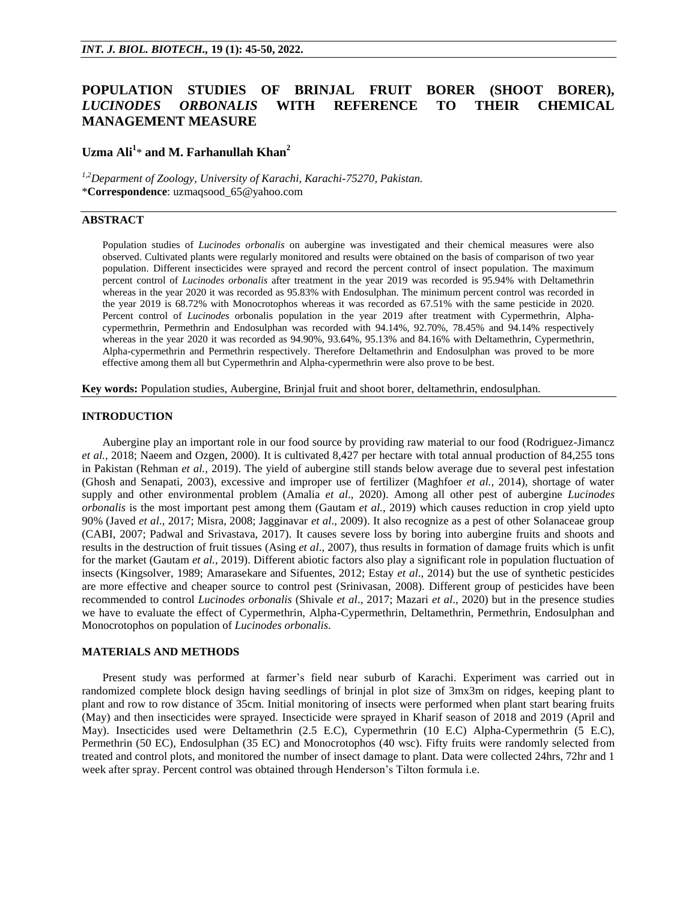# **POPULATION STUDIES OF BRINJAL FRUIT BORER (SHOOT BORER),**  *LUCINODES ORBONALIS* **WITH REFERENCE TO THEIR CHEMICAL MANAGEMENT MEASURE**

# **Uzma Ali<sup>1</sup>** \* **and M. Farhanullah Khan<sup>2</sup>**

*1,2Deparment of Zoology, University of Karachi, Karachi-75270, Pakistan.* \***Correspondence**: uzmaqsood\_65@yahoo.com

# **ABSTRACT**

Population studies of *Lucinodes orbonalis* on aubergine was investigated and their chemical measures were also observed. Cultivated plants were regularly monitored and results were obtained on the basis of comparison of two year population. Different insecticides were sprayed and record the percent control of insect population. The maximum percent control of *Lucinodes orbonalis* after treatment in the year 2019 was recorded is 95.94% with Deltamethrin whereas in the year 2020 it was recorded as 95.83% with Endosulphan. The minimum percent control was recorded in the year 2019 is 68.72% with Monocrotophos whereas it was recorded as 67.51% with the same pesticide in 2020. Percent control of *Lucinodes* orbonalis population in the year 2019 after treatment with Cypermethrin, Alphacypermethrin, Permethrin and Endosulphan was recorded with 94.14%, 92.70%, 78.45% and 94.14% respectively whereas in the year 2020 it was recorded as 94.90%, 93.64%, 95.13% and 84.16% with Deltamethrin, Cypermethrin, Alpha-cypermethrin and Permethrin respectively. Therefore Deltamethrin and Endosulphan was proved to be more effective among them all but Cypermethrin and Alpha-cypermethrin were also prove to be best.

**Key words:** Population studies, Aubergine, Brinjal fruit and shoot borer, deltamethrin, endosulphan.

#### **INTRODUCTION**

Aubergine play an important role in our food source by providing raw material to our food (Rodriguez-Jimancz *et al.,* 2018; Naeem and Ozgen, 2000). It is cultivated 8,427 per hectare with total annual production of 84,255 tons in Pakistan (Rehman *et al.,* 2019). The yield of aubergine still stands below average due to several pest infestation (Ghosh and Senapati, 2003), excessive and improper use of fertilizer (Maghfoer *et al.,* 2014), shortage of water supply and other environmental problem (Amalia *et al*., 2020). Among all other pest of aubergine *Lucinodes orbonalis* is the most important pest among them (Gautam *et al.,* 2019) which causes reduction in crop yield upto 90% (Javed *et al*., 2017; Misra, 2008; Jagginavar *et al*., 2009). It also recognize as a pest of other Solanaceae group (CABI, 2007; Padwal and Srivastava, 2017). It causes severe loss by boring into aubergine fruits and shoots and results in the destruction of fruit tissues (Asing *et al*., 2007), thus results in formation of damage fruits which is unfit for the market (Gautam *et al.,* 2019). Different abiotic factors also play a significant role in population fluctuation of insects (Kingsolver, 1989; Amarasekare and Sifuentes, 2012; Estay *et al*., 2014) but the use of synthetic pesticides are more effective and cheaper source to control pest (Srinivasan, 2008). Different group of pesticides have been recommended to control *Lucinodes orbonalis* (Shivale *et al*., 2017; Mazari *et al*., 2020) but in the presence studies we have to evaluate the effect of Cypermethrin, Alpha-Cypermethrin, Deltamethrin, Permethrin, Endosulphan and Monocrotophos on population of *Lucinodes orbonalis*.

#### **MATERIALS AND METHODS**

Present study was performed at farmer's field near suburb of Karachi. Experiment was carried out in randomized complete block design having seedlings of brinjal in plot size of 3mx3m on ridges, keeping plant to plant and row to row distance of 35cm. Initial monitoring of insects were performed when plant start bearing fruits (May) and then insecticides were sprayed. Insecticide were sprayed in Kharif season of 2018 and 2019 (April and May). Insecticides used were Deltamethrin (2.5 E.C), Cypermethrin (10 E.C) Alpha-Cypermethrin (5 E.C), Permethrin (50 EC), Endosulphan (35 EC) and Monocrotophos (40 wsc). Fifty fruits were randomly selected from treated and control plots, and monitored the number of insect damage to plant. Data were collected 24hrs, 72hr and 1 week after spray. Percent control was obtained through Henderson's Tilton formula i.e.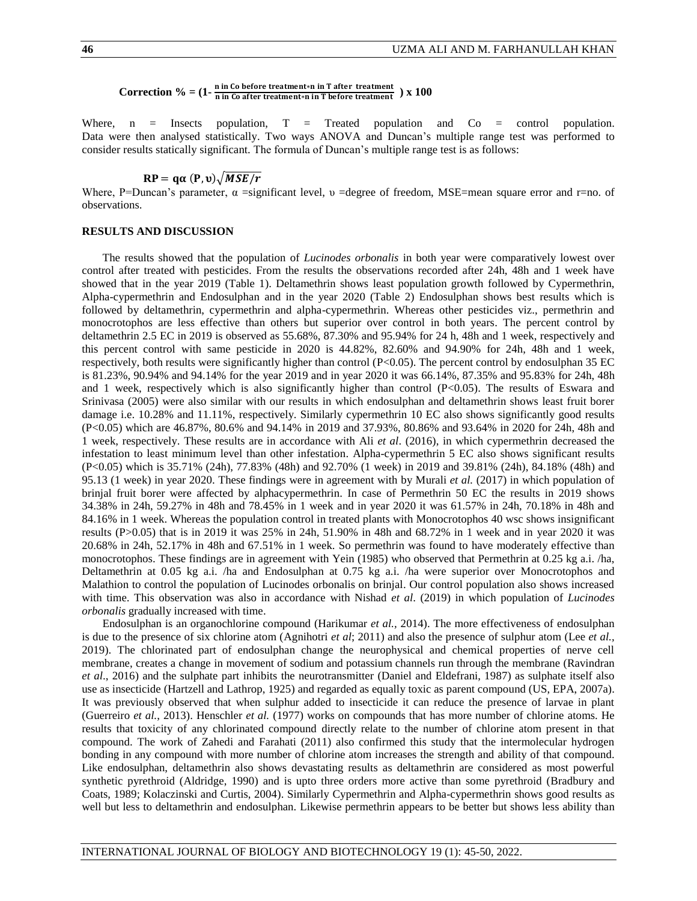# **Correction**  $\% = (1 - \frac{n \text{ in Co before treatment} \cdot n \text{ in T after treatment}) \times 100$

Where,  $n =$  Insects population,  $T =$  Treated population and  $Co =$  control population. Data were then analysed statistically. Two ways ANOVA and Duncan's multiple range test was performed to consider results statically significant. The formula of Duncan's multiple range test is as follows:

$$
RP = q\alpha(P, \nu)\sqrt{MSE/r}
$$

Where, P=Duncan's parameter,  $\alpha$  =significant level,  $\nu$  =degree of freedom, MSE=mean square error and r=no. of observations.

## **RESULTS AND DISCUSSION**

The results showed that the population of *Lucinodes orbonalis* in both year were comparatively lowest over control after treated with pesticides. From the results the observations recorded after 24h, 48h and 1 week have showed that in the year 2019 (Table 1). Deltamethrin shows least population growth followed by Cypermethrin, Alpha-cypermethrin and Endosulphan and in the year 2020 (Table 2) Endosulphan shows best results which is followed by deltamethrin, cypermethrin and alpha-cypermethrin. Whereas other pesticides viz., permethrin and monocrotophos are less effective than others but superior over control in both years. The percent control by deltamethrin 2.5 EC in 2019 is observed as 55.68%, 87.30% and 95.94% for 24 h, 48h and 1 week, respectively and this percent control with same pesticide in 2020 is 44.82%, 82.60% and 94.90% for 24h, 48h and 1 week, respectively, both results were significantly higher than control (P<0.05). The percent control by endosulphan 35 EC is 81.23%, 90.94% and 94.14% for the year 2019 and in year 2020 it was 66.14%, 87.35% and 95.83% for 24h, 48h and 1 week, respectively which is also significantly higher than control (P<0.05). The results of Eswara and Srinivasa (2005) were also similar with our results in which endosulphan and deltamethrin shows least fruit borer damage i.e. 10.28% and 11.11%, respectively. Similarly cypermethrin 10 EC also shows significantly good results (P<0.05) which are 46.87%, 80.6% and 94.14% in 2019 and 37.93%, 80.86% and 93.64% in 2020 for 24h, 48h and 1 week, respectively. These results are in accordance with Ali *et al*. (2016), in which cypermethrin decreased the infestation to least minimum level than other infestation. Alpha-cypermethrin 5 EC also shows significant results (P<0.05) which is 35.71% (24h), 77.83% (48h) and 92.70% (1 week) in 2019 and 39.81% (24h), 84.18% (48h) and 95.13 (1 week) in year 2020. These findings were in agreement with by Murali *et al.* (2017) in which population of brinjal fruit borer were affected by alphacypermethrin. In case of Permethrin 50 EC the results in 2019 shows 34.38% in 24h, 59.27% in 48h and 78.45% in 1 week and in year 2020 it was 61.57% in 24h, 70.18% in 48h and 84.16% in 1 week. Whereas the population control in treated plants with Monocrotophos 40 wsc shows insignificant results (P>0.05) that is in 2019 it was 25% in 24h, 51.90% in 48h and 68.72% in 1 week and in year 2020 it was 20.68% in 24h, 52.17% in 48h and 67.51% in 1 week. So permethrin was found to have moderately effective than monocrotophos. These findings are in agreement with Yein (1985) who observed that Permethrin at 0.25 kg a.i. /ha, Deltamethrin at 0.05 kg a.i. /ha and Endosulphan at 0.75 kg a.i. /ha were superior over Monocrotophos and Malathion to control the population of Lucinodes orbonalis on brinjal. Our control population also shows increased with time. This observation was also in accordance with Nishad *et al*. (2019) in which population of *Lucinodes orbonalis* gradually increased with time.

Endosulphan is an organochlorine compound (Harikumar *et al.,* 2014). The more effectiveness of endosulphan is due to the presence of six chlorine atom (Agnihotri *et al*; 2011) and also the presence of sulphur atom (Lee *et al.,* 2019). The chlorinated part of endosulphan change the neurophysical and chemical properties of nerve cell membrane, creates a change in movement of sodium and potassium channels run through the membrane (Ravindran *et al*., 2016) and the sulphate part inhibits the neurotransmitter (Daniel and Eldefrani, 1987) as sulphate itself also use as insecticide (Hartzell and Lathrop, 1925) and regarded as equally toxic as parent compound (US, EPA, 2007a). It was previously observed that when sulphur added to insecticide it can reduce the presence of larvae in plant (Guerreiro *et al.*, 2013). Henschler *et al.* (1977) works on compounds that has more number of chlorine atoms. He results that toxicity of any chlorinated compound directly relate to the number of chlorine atom present in that compound. The work of Zahedi and Farahati (2011) also confirmed this study that the intermolecular hydrogen bonding in any compound with more number of chlorine atom increases the strength and ability of that compound. Like endosulphan, deltamethrin also shows devastating results as deltamethrin are considered as most powerful synthetic pyrethroid (Aldridge, 1990) and is upto three orders more active than some pyrethroid (Bradbury and Coats, 1989; Kolaczinski and Curtis, 2004). Similarly Cypermethrin and Alpha-cypermethrin shows good results as well but less to deltamethrin and endosulphan. Likewise permethrin appears to be better but shows less ability than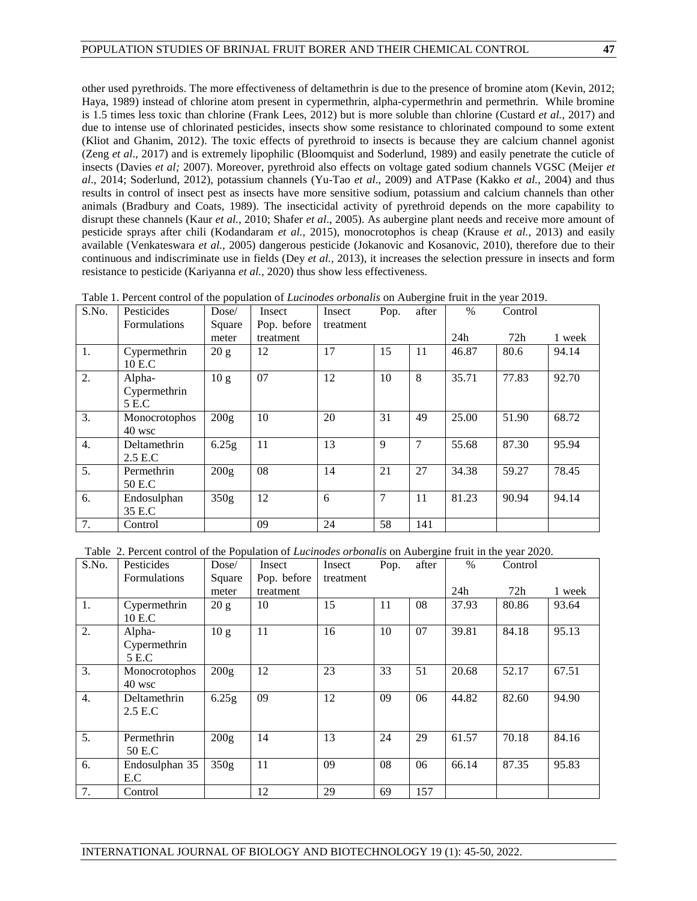other used pyrethroids. The more effectiveness of deltamethrin is due to the presence of bromine atom (Kevin, 2012; Haya, 1989) instead of chlorine atom present in cypermethrin, alpha-cypermethrin and permethrin. While bromine is 1.5 times less toxic than chlorine (Frank Lees, 2012) but is more soluble than chlorine (Custard *et al.,* 2017) and due to intense use of chlorinated pesticides, insects show some resistance to chlorinated compound to some extent (Kliot and Ghanim, 2012). The toxic effects of pyrethroid to insects is because they are calcium channel agonist (Zeng *et al*., 2017) and is extremely lipophilic (Bloomquist and Soderlund, 1989) and easily penetrate the cuticle of insects (Davies *et al;* 2007). Moreover, pyrethroid also effects on voltage gated sodium channels VGSC (Meijer *et al*., 2014; Soderlund, 2012), potassium channels (Yu-Tao *et al*., 2009) and ATPase (Kakko *et al.,* 2004) and thus results in control of insect pest as insects have more sensitive sodium, potassium and calcium channels than other animals (Bradbury and Coats, 1989). The insecticidal activity of pyrethroid depends on the more capability to disrupt these channels (Kaur *et al.,* 2010; Shafer *et al*., 2005). As aubergine plant needs and receive more amount of pesticide sprays after chili (Kodandaram *et al.,* 2015), monocrotophos is cheap (Krause *et al.,* 2013) and easily available (Venkateswara *et al.,* 2005) dangerous pesticide (Jokanovic and Kosanovic, 2010), therefore due to their continuous and indiscriminate use in fields (Dey *et al.,* 2013), it increases the selection pressure in insects and form resistance to pesticide (Kariyanna *et al.,* 2020) thus show less effectiveness.

| S.No. | Pesticides          | Dose/            | Insect      | Insect    | Pop. | after | $\%$  | Control |        |
|-------|---------------------|------------------|-------------|-----------|------|-------|-------|---------|--------|
|       | <b>Formulations</b> | Square           | Pop. before | treatment |      |       |       |         |        |
|       |                     | meter            | treatment   |           |      |       | 24h   | 72h     | 1 week |
| 1.    | Cypermethrin        | 20 g             | 12          | 17        | 15   | 11    | 46.87 | 80.6    | 94.14  |
|       | 10 E.C              |                  |             |           |      |       |       |         |        |
| 2.    | Alpha-              | 10 <sub>g</sub>  | 07          | 12        | 10   | 8     | 35.71 | 77.83   | 92.70  |
|       | Cypermethrin        |                  |             |           |      |       |       |         |        |
|       | 5 E.C               |                  |             |           |      |       |       |         |        |
| 3.    | Monocrotophos       | 200g             | 10          | 20        | 31   | 49    | 25.00 | 51.90   | 68.72  |
|       | $40$ wsc            |                  |             |           |      |       |       |         |        |
| 4.    | <b>Deltamethrin</b> | 6.25g            | 11          | 13        | 9    | 7     | 55.68 | 87.30   | 95.94  |
|       | 2.5 E.C             |                  |             |           |      |       |       |         |        |
| 5.    | Permethrin          | 200 <sub>g</sub> | 08          | 14        | 21   | 27    | 34.38 | 59.27   | 78.45  |
|       | 50 E.C              |                  |             |           |      |       |       |         |        |
| 6.    | Endosulphan         | 350g             | 12          | 6         | 7    | 11    | 81.23 | 90.94   | 94.14  |
|       | 35 E.C              |                  |             |           |      |       |       |         |        |
| 7.    | Control             |                  | 09          | 24        | 58   | 141   |       |         |        |

Table 1. Percent control of the population of *Lucinodes orbonalis* on Aubergine fruit in the year 2019.

Table 2. Percent control of the Population of *Lucinodes orbonalis* on Aubergine fruit in the year 2020.

| S.No. | Pesticides                      | Dose/            | Insect      | Insect    | Pop. | after | $\frac{0}{0}$ | Control |        |
|-------|---------------------------------|------------------|-------------|-----------|------|-------|---------------|---------|--------|
|       | <b>Formulations</b>             | Square           | Pop. before | treatment |      |       |               |         |        |
|       |                                 | meter            | treatment   |           |      |       | 24h           | 72h     | 1 week |
| 1.    | Cypermethrin<br>10 E.C          | 20 g             | 10          | 15        | 11   | 08    | 37.93         | 80.86   | 93.64  |
| 2.    | Alpha-<br>Cypermethrin<br>5 E.C | 10 g             | 11          | 16        | 10   | 07    | 39.81         | 84.18   | 95.13  |
| 3.    | Monocrotophos<br>40 wsc         | 200g             | 12          | 23        | 33   | 51    | 20.68         | 52.17   | 67.51  |
| 4.    | Deltamethrin<br>2.5 E.C         | 6.25g            | 09          | 12        | 09   | 06    | 44.82         | 82.60   | 94.90  |
| 5.    | Permethrin<br>50 E.C            | 200 <sub>g</sub> | 14          | 13        | 24   | 29    | 61.57         | 70.18   | 84.16  |
| 6.    | Endosulphan 35<br>E.C           | 350 <sub>g</sub> | 11          | 09        | 08   | 06    | 66.14         | 87.35   | 95.83  |
| 7.    | Control                         |                  | 12          | 29        | 69   | 157   |               |         |        |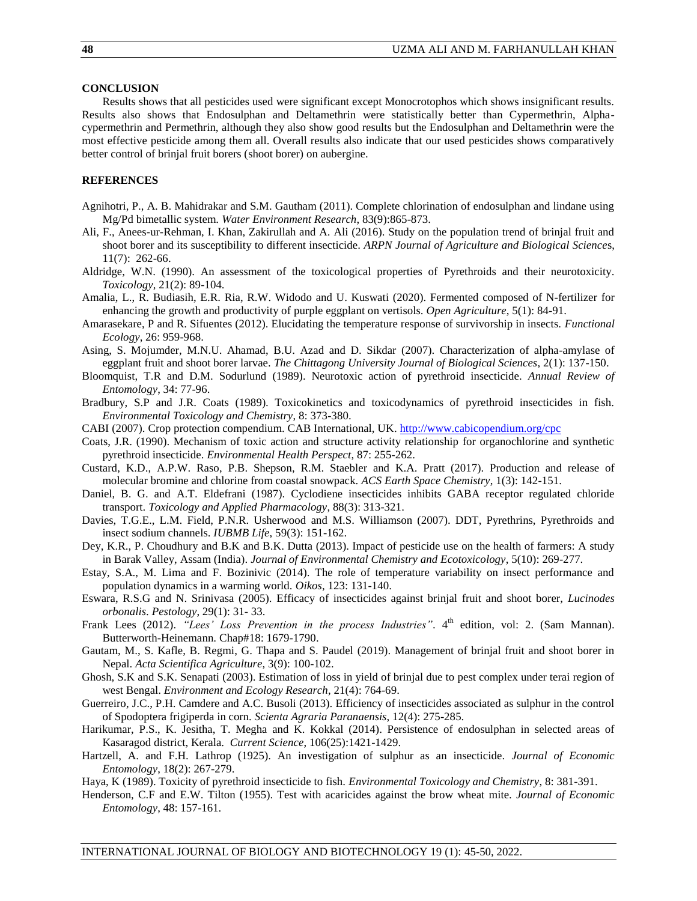### **CONCLUSION**

Results shows that all pesticides used were significant except Monocrotophos which shows insignificant results. Results also shows that Endosulphan and Deltamethrin were statistically better than Cypermethrin, Alphacypermethrin and Permethrin, although they also show good results but the Endosulphan and Deltamethrin were the most effective pesticide among them all. Overall results also indicate that our used pesticides shows comparatively better control of brinjal fruit borers (shoot borer) on aubergine.

# **REFERENCES**

- Agnihotri, P., A. B. Mahidrakar and S.M. Gautham (2011). Complete chlorination of endosulphan and lindane using Mg/Pd bimetallic system. *Water Environment Research*, 83(9):865-873.
- Ali, F., Anees-ur-Rehman, I. Khan, Zakirullah and A. Ali (2016). Study on the population trend of brinjal fruit and shoot borer and its susceptibility to different insecticide. *ARPN Journal of Agriculture and Biological Science*s, 11(7): 262-66.
- Aldridge, W.N. (1990). An assessment of the toxicological properties of Pyrethroids and their neurotoxicity. *Toxicology*, 21(2): 89-104.
- Amalia, L., R. Budiasih, E.R. Ria, R.W. Widodo and U. Kuswati (2020). Fermented composed of N-fertilizer for enhancing the growth and productivity of purple eggplant on vertisols. *Open Agriculture*, 5(1): 84-91.
- Amarasekare, P and R. Sifuentes (2012). Elucidating the temperature response of survivorship in insects. *Functional Ecology*, 26: 959-968.
- Asing, S. Mojumder, M.N.U. Ahamad, B.U. Azad and D. Sikdar (2007). Characterization of alpha-amylase of eggplant fruit and shoot borer larvae. *The Chittagong University Journal of Biological Sciences*, 2(1): 137-150.
- Bloomquist, T.R and D.M. Sodurlund (1989). Neurotoxic action of pyrethroid insecticide. *Annual Review of Entomology*, 34: 77-96.
- Bradbury, S.P and J.R. Coats (1989). Toxicokinetics and toxicodynamics of pyrethroid insecticides in fish. *Environmental Toxicology and Chemistry*, 8: 373-380.
- CABI (2007). Crop protection compendium. CAB International, UK. <http://www.cabicopendium.org/cpc>
- Coats, J.R. (1990). Mechanism of toxic action and structure activity relationship for organochlorine and synthetic pyrethroid insecticide. *Environmental Health Perspect*, 87: 255-262.
- Custard, K.D., A.P.W. Raso, P.B. Shepson, R.M. Staebler and K.A. Pratt (2017). Production and release of molecular bromine and chlorine from coastal snowpack. *ACS Earth Space Chemistry*, 1(3): 142-151.
- Daniel, B. G. and A.T. Eldefrani (1987). Cyclodiene insecticides inhibits GABA receptor regulated chloride transport. *Toxicology and Applied Pharmacology*, 88(3): 313-321.
- Davies, T.G.E., L.M. Field, P.N.R. Usherwood and M.S. Williamson (2007). DDT, Pyrethrins, Pyrethroids and insect sodium channels. *IUBMB Life*, 59(3): 151-162.
- Dey, K.R., P. Choudhury and B.K and B.K. Dutta (2013). Impact of pesticide use on the health of farmers: A study in Barak Valley, Assam (India). *Journal of Environmental Chemistry and Ecotoxicology*, 5(10): 269-277.
- Estay, S.A., M. Lima and F. Bozinivic (2014). The role of temperature variability on insect performance and population dynamics in a warming world. *Oikos*, 123: 131-140.
- Eswara, R.S.G and N. Srinivasa (2005). Efficacy of insecticides against brinjal fruit and shoot borer, *Lucinodes orbonalis*. *Pestology*, 29(1): 31- 33.
- Frank Lees (2012). "Lees' Loss Prevention in the process Industries". 4<sup>th</sup> edition, vol: 2. (Sam Mannan). Butterworth-Heinemann. Chap#18: 1679-1790.
- Gautam, M., S. Kafle, B. Regmi, G. Thapa and S. Paudel (2019). Management of brinjal fruit and shoot borer in Nepal. *Acta Scientifica Agriculture*, 3(9): 100-102.
- Ghosh, S.K and S.K. Senapati (2003). Estimation of loss in yield of brinjal due to pest complex under terai region of west Bengal. *Environment and Ecology Research*, 21(4): 764-69.
- Guerreiro, J.C., P.H. Camdere and A.C. Busoli (2013). Efficiency of insecticides associated as sulphur in the control of Spodoptera frigiperda in corn. *Scienta Agraria Paranaensis*, 12(4): 275-285.
- Harikumar, P.S., K. Jesitha, T. Megha and K. Kokkal (2014). Persistence of endosulphan in selected areas of Kasaragod district, Kerala. *Current Science*, 106(25):1421-1429.
- Hartzell, A. and F.H. Lathrop (1925). An investigation of sulphur as an insecticide. *Journal of Economic Entomology*, 18(2): 267-279.
- Haya, K (1989). Toxicity of pyrethroid insecticide to fish. *Environmental Toxicology and Chemistry*, 8: 381-391.
- Henderson, C.F and E.W. Tilton (1955). Test with acaricides against the brow wheat mite. *Journal of Economic Entomology*, 48: 157-161.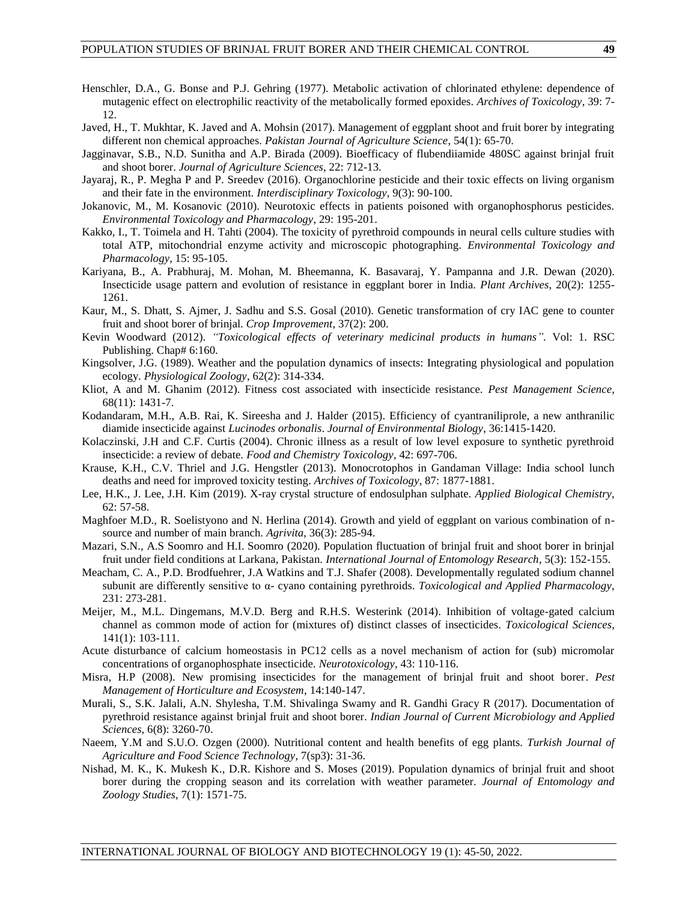- Henschler, D.A., G. Bonse and P.J. Gehring (1977). Metabolic activation of chlorinated ethylene: dependence of mutagenic effect on electrophilic reactivity of the metabolically formed epoxides. *Archives of Toxicology*, 39: 7- 12.
- Javed, H., T. Mukhtar, K. Javed and A. Mohsin (2017). Management of eggplant shoot and fruit borer by integrating different non chemical approaches. *Pakistan Journal of Agriculture Science*, 54(1): 65-70.
- Jagginavar, S.B., N.D. Sunitha and A.P. Birada (2009). Bioefficacy of flubendiiamide 480SC against brinjal fruit and shoot borer. *Journal of Agriculture Sciences*, 22: 712-13.
- Jayaraj, R., P. Megha P and P. Sreedev (2016). Organochlorine pesticide and their toxic effects on living organism and their fate in the environment. *Interdisciplinary Toxicology*, 9(3): 90-100.
- Jokanovic, M., M. Kosanovic (2010). Neurotoxic effects in patients poisoned with organophosphorus pesticides. *Environmental Toxicology and Pharmacology*, 29: 195-201.
- Kakko, I., T. Toimela and H. Tahti (2004). The toxicity of pyrethroid compounds in neural cells culture studies with total ATP, mitochondrial enzyme activity and microscopic photographing. *Environmental Toxicology and Pharmacology*, 15: 95-105.
- Kariyana, B., A. Prabhuraj, M. Mohan, M. Bheemanna, K. Basavaraj, Y. Pampanna and J.R. Dewan (2020). Insecticide usage pattern and evolution of resistance in eggplant borer in India. *Plant Archives*, 20(2): 1255- 1261.
- Kaur, M., S. Dhatt, S. Ajmer, J. Sadhu and S.S. Gosal (2010). Genetic transformation of cry IAC gene to counter fruit and shoot borer of brinjal. *Crop Improvement*, 37(2): 200.
- Kevin Woodward (2012). *"Toxicological effects of veterinary medicinal products in humans"*. Vol: 1. RSC Publishing. Chap# 6:160.
- Kingsolver, J.G. (1989). Weather and the population dynamics of insects: Integrating physiological and population ecology. *Physiological Zoology*, 62(2): 314-334.
- Kliot, A and M. Ghanim (2012). Fitness cost associated with insecticide resistance. *Pest Management Science*, 68(11): 1431-7.
- Kodandaram, M.H., A.B. Rai, K. Sireesha and J. Halder (2015). Efficiency of cyantraniliprole, a new anthranilic diamide insecticide against *Lucinodes orbonalis*. *Journal of Environmental Biology*, 36:1415-1420.
- Kolaczinski, J.H and C.F. Curtis (2004). Chronic illness as a result of low level exposure to synthetic pyrethroid insecticide: a review of debate. *Food and Chemistry Toxicology*, 42: 697-706.
- Krause, K.H., C.V. Thriel and J.G. Hengstler (2013). Monocrotophos in Gandaman Village: India school lunch deaths and need for improved toxicity testing. *Archives of Toxicology*, 87: 1877-1881.
- Lee, H.K., J. Lee, J.H. Kim (2019). X-ray crystal structure of endosulphan sulphate. *Applied Biological Chemistry*, 62: 57-58.
- Maghfoer M.D., R. Soelistyono and N. Herlina (2014). Growth and yield of eggplant on various combination of nsource and number of main branch. *Agrivita*, 36(3): 285-94.
- Mazari, S.N., A.S Soomro and H.I. Soomro (2020). Population fluctuation of brinjal fruit and shoot borer in brinjal fruit under field conditions at Larkana, Pakistan. *International Journal of Entomology Research*, 5(3): 152-155.
- Meacham, C. A., P.D. Brodfuehrer, J.A Watkins and T.J. Shafer (2008). Developmentally regulated sodium channel subunit are differently sensitive to α- cyano containing pyrethroids. *Toxicological and Applied Pharmacology*, 231: 273-281.
- Meijer, M., M.L. Dingemans, M.V.D. Berg and R.H.S. Westerink (2014). Inhibition of voltage-gated calcium channel as common mode of action for (mixtures of) distinct classes of insecticides. *Toxicological Sciences*, 141(1): 103-111.
- Acute disturbance of calcium homeostasis in PC12 cells as a novel mechanism of action for (sub) micromolar concentrations of organophosphate insecticide. *Neurotoxicology*, 43: 110-116.
- Misra, H.P (2008). New promising insecticides for the management of brinjal fruit and shoot borer. *Pest Management of Horticulture and Ecosystem*, 14:140-147.
- Murali, S., S.K. Jalali, A.N. Shylesha, T.M. Shivalinga Swamy and R. Gandhi Gracy R (2017). Documentation of pyrethroid resistance against brinjal fruit and shoot borer. *Indian Journal of Current Microbiology and Applied Sciences*, 6(8): 3260-70.
- Naeem, Y.M and S.U.O. Ozgen (2000). Nutritional content and health benefits of egg plants. *Turkish Journal of Agriculture and Food Science Technology*, 7(sp3): 31-36.
- Nishad, M. K., K. Mukesh K., D.R. Kishore and S. Moses (2019). Population dynamics of brinjal fruit and shoot borer during the cropping season and its correlation with weather parameter. *Journal of Entomology and Zoology Studies*, 7(1): 1571-75.